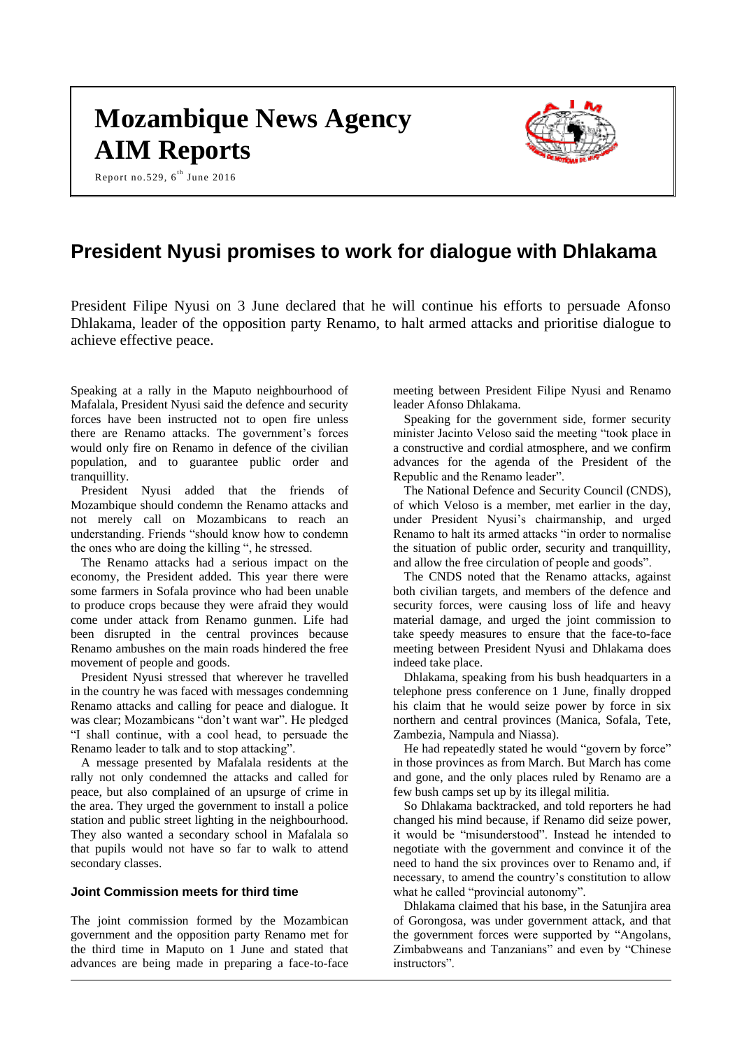# **Mozambique News Agency AIM Reports**

Report no.529,  $6^{th}$  June 2016



# **President Nyusi promises to work for dialogue with Dhlakama**

President Filipe Nyusi on 3 June declared that he will continue his efforts to persuade Afonso Dhlakama, leader of the opposition party Renamo, to halt armed attacks and prioritise dialogue to achieve effective peace.

Speaking at a rally in the Maputo neighbourhood of Mafalala, President Nyusi said the defence and security forces have been instructed not to open fire unless there are Renamo attacks. The government's forces would only fire on Renamo in defence of the civilian population, and to guarantee public order and tranquillity.

President Nyusi added that the friends of Mozambique should condemn the Renamo attacks and not merely call on Mozambicans to reach an understanding. Friends "should know how to condemn the ones who are doing the killing ", he stressed.

The Renamo attacks had a serious impact on the economy, the President added. This year there were some farmers in Sofala province who had been unable to produce crops because they were afraid they would come under attack from Renamo gunmen. Life had been disrupted in the central provinces because Renamo ambushes on the main roads hindered the free movement of people and goods.

President Nyusi stressed that wherever he travelled in the country he was faced with messages condemning Renamo attacks and calling for peace and dialogue. It was clear; Mozambicans "don't want war". He pledged "I shall continue, with a cool head, to persuade the Renamo leader to talk and to stop attacking".

A message presented by Mafalala residents at the rally not only condemned the attacks and called for peace, but also complained of an upsurge of crime in the area. They urged the government to install a police station and public street lighting in the neighbourhood. They also wanted a secondary school in Mafalala so that pupils would not have so far to walk to attend secondary classes.

# **Joint Commission meets for third time**

The joint commission formed by the Mozambican government and the opposition party Renamo met for the third time in Maputo on 1 June and stated that advances are being made in preparing a face-to-face meeting between President Filipe Nyusi and Renamo leader Afonso Dhlakama.

Speaking for the government side, former security minister Jacinto Veloso said the meeting "took place in a constructive and cordial atmosphere, and we confirm advances for the agenda of the President of the Republic and the Renamo leader".

The National Defence and Security Council (CNDS), of which Veloso is a member, met earlier in the day, under President Nyusi's chairmanship, and urged Renamo to halt its armed attacks "in order to normalise the situation of public order, security and tranquillity, and allow the free circulation of people and goods".

The CNDS noted that the Renamo attacks, against both civilian targets, and members of the defence and security forces, were causing loss of life and heavy material damage, and urged the joint commission to take speedy measures to ensure that the face-to-face meeting between President Nyusi and Dhlakama does indeed take place.

Dhlakama, speaking from his bush headquarters in a telephone press conference on 1 June, finally dropped his claim that he would seize power by force in six northern and central provinces (Manica, Sofala, Tete, Zambezia, Nampula and Niassa).

He had repeatedly stated he would "govern by force" in those provinces as from March. But March has come and gone, and the only places ruled by Renamo are a few bush camps set up by its illegal militia.

So Dhlakama backtracked, and told reporters he had changed his mind because, if Renamo did seize power, it would be "misunderstood". Instead he intended to negotiate with the government and convince it of the need to hand the six provinces over to Renamo and, if necessary, to amend the country's constitution to allow what he called "provincial autonomy".

Dhlakama claimed that his base, in the Satunjira area of Gorongosa, was under government attack, and that the government forces were supported by "Angolans, Zimbabweans and Tanzanians" and even by "Chinese instructors".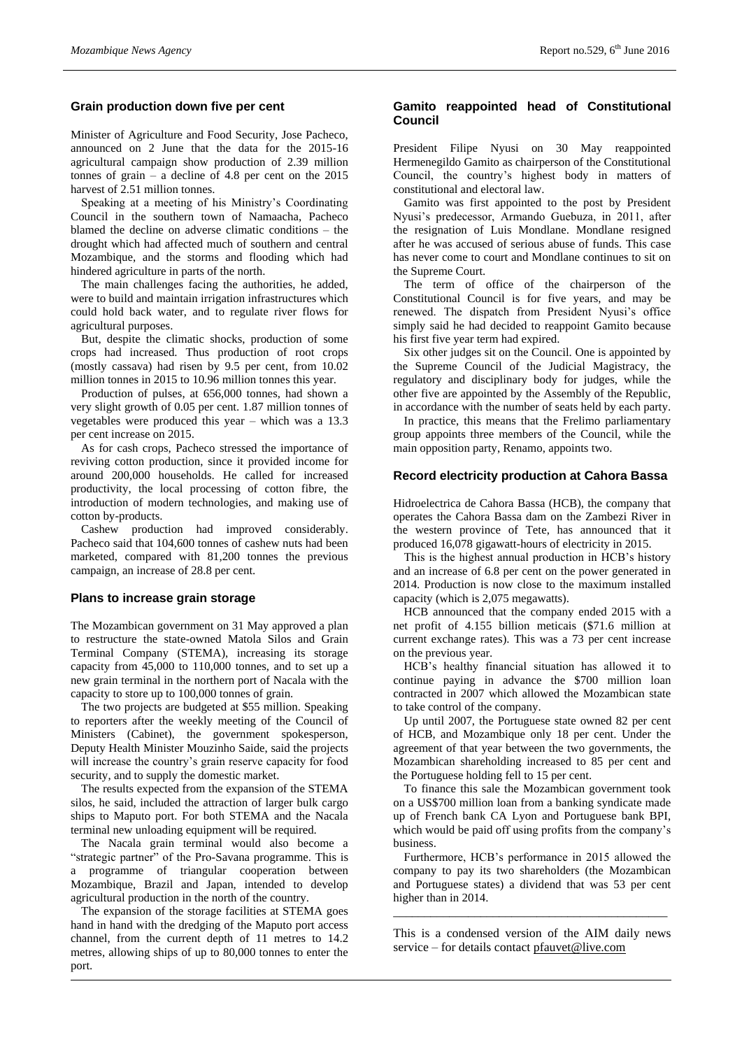# **Grain production down five per cent**

Minister of Agriculture and Food Security, Jose Pacheco, announced on 2 June that the data for the 2015-16 agricultural campaign show production of 2.39 million tonnes of grain – a decline of 4.8 per cent on the 2015 harvest of 2.51 million tonnes.

Speaking at a meeting of his Ministry's Coordinating Council in the southern town of Namaacha, Pacheco blamed the decline on adverse climatic conditions – the drought which had affected much of southern and central Mozambique, and the storms and flooding which had hindered agriculture in parts of the north.

The main challenges facing the authorities, he added, were to build and maintain irrigation infrastructures which could hold back water, and to regulate river flows for agricultural purposes.

But, despite the climatic shocks, production of some crops had increased. Thus production of root crops (mostly cassava) had risen by 9.5 per cent, from 10.02 million tonnes in 2015 to 10.96 million tonnes this year.

Production of pulses, at 656,000 tonnes, had shown a very slight growth of 0.05 per cent. 1.87 million tonnes of vegetables were produced this year – which was a 13.3 per cent increase on 2015.

As for cash crops, Pacheco stressed the importance of reviving cotton production, since it provided income for around 200,000 households. He called for increased productivity, the local processing of cotton fibre, the introduction of modern technologies, and making use of cotton by-products.

Cashew production had improved considerably. Pacheco said that 104,600 tonnes of cashew nuts had been marketed, compared with 81,200 tonnes the previous campaign, an increase of 28.8 per cent.

#### **Plans to increase grain storage**

The Mozambican government on 31 May approved a plan to restructure the state-owned Matola Silos and Grain Terminal Company (STEMA), increasing its storage capacity from 45,000 to 110,000 tonnes, and to set up a new grain terminal in the northern port of Nacala with the capacity to store up to 100,000 tonnes of grain.

The two projects are budgeted at \$55 million. Speaking to reporters after the weekly meeting of the Council of Ministers (Cabinet), the government spokesperson, Deputy Health Minister Mouzinho Saide, said the projects will increase the country's grain reserve capacity for food security, and to supply the domestic market.

The results expected from the expansion of the STEMA silos, he said, included the attraction of larger bulk cargo ships to Maputo port. For both STEMA and the Nacala terminal new unloading equipment will be required.

The Nacala grain terminal would also become a "strategic partner" of the Pro-Savana programme. This is a programme of triangular cooperation between Mozambique, Brazil and Japan, intended to develop agricultural production in the north of the country.

The expansion of the storage facilities at STEMA goes hand in hand with the dredging of the Maputo port access channel, from the current depth of 11 metres to 14.2 metres, allowing ships of up to 80,000 tonnes to enter the port.

# **Gamito reappointed head of Constitutional Council**

President Filipe Nyusi on 30 May reappointed Hermenegildo Gamito as chairperson of the Constitutional Council, the country's highest body in matters of constitutional and electoral law.

Gamito was first appointed to the post by President Nyusi's predecessor, Armando Guebuza, in 2011, after the resignation of Luis Mondlane. Mondlane resigned after he was accused of serious abuse of funds. This case has never come to court and Mondlane continues to sit on the Supreme Court.

The term of office of the chairperson of the Constitutional Council is for five years, and may be renewed. The dispatch from President Nyusi's office simply said he had decided to reappoint Gamito because his first five year term had expired.

Six other judges sit on the Council. One is appointed by the Supreme Council of the Judicial Magistracy, the regulatory and disciplinary body for judges, while the other five are appointed by the Assembly of the Republic, in accordance with the number of seats held by each party.

In practice, this means that the Frelimo parliamentary group appoints three members of the Council, while the main opposition party, Renamo, appoints two.

# **Record electricity production at Cahora Bassa**

Hidroelectrica de Cahora Bassa (HCB), the company that operates the Cahora Bassa dam on the Zambezi River in the western province of Tete, has announced that it produced 16,078 gigawatt-hours of electricity in 2015.

This is the highest annual production in HCB's history and an increase of 6.8 per cent on the power generated in 2014. Production is now close to the maximum installed capacity (which is 2,075 megawatts).

HCB announced that the company ended 2015 with a net profit of 4.155 billion meticais (\$71.6 million at current exchange rates). This was a 73 per cent increase on the previous year.

HCB's healthy financial situation has allowed it to continue paying in advance the \$700 million loan contracted in 2007 which allowed the Mozambican state to take control of the company.

Up until 2007, the Portuguese state owned 82 per cent of HCB, and Mozambique only 18 per cent. Under the agreement of that year between the two governments, the Mozambican shareholding increased to 85 per cent and the Portuguese holding fell to 15 per cent.

To finance this sale the Mozambican government took on a US\$700 million loan from a banking syndicate made up of French bank CA Lyon and Portuguese bank BPI, which would be paid off using profits from the company's business.

Furthermore, HCB's performance in 2015 allowed the company to pay its two shareholders (the Mozambican and Portuguese states) a dividend that was 53 per cent higher than in 2014.

This is a condensed version of the AIM daily news service – for details contact [pfauvet@live.com](mailto:pfauvet@live.com)

\_\_\_\_\_\_\_\_\_\_\_\_\_\_\_\_\_\_\_\_\_\_\_\_\_\_\_\_\_\_\_\_\_\_\_\_\_\_\_\_\_\_\_\_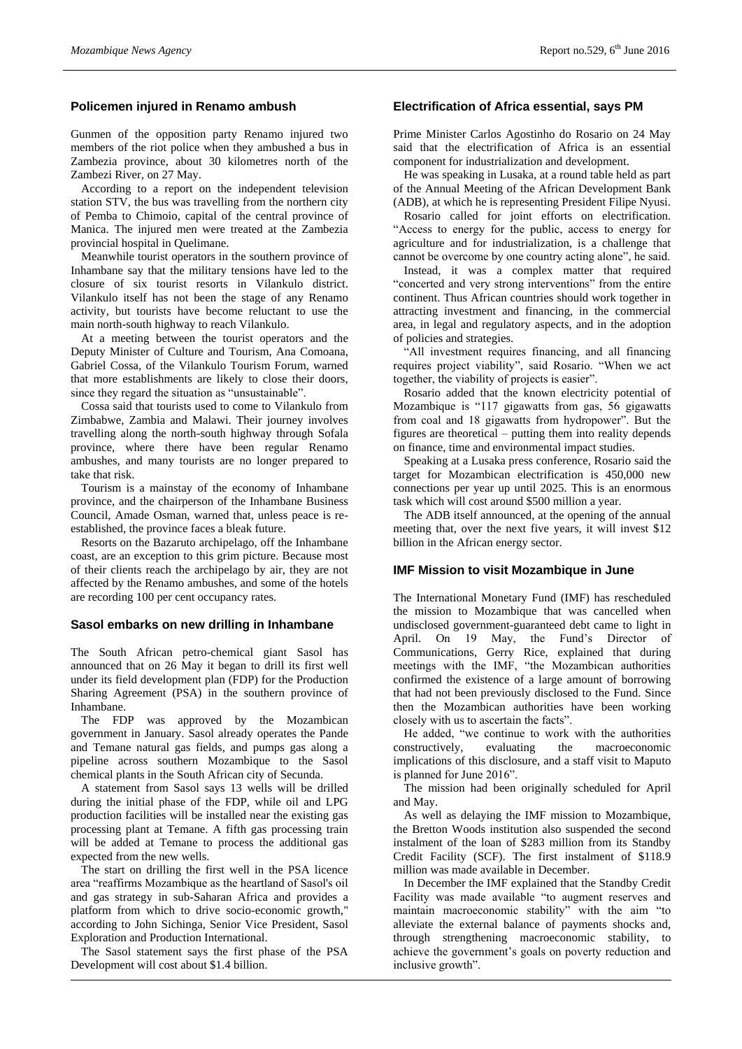# **Policemen injured in Renamo ambush**

Gunmen of the opposition party Renamo injured two members of the riot police when they ambushed a bus in Zambezia province, about 30 kilometres north of the Zambezi River, on 27 May.

According to a report on the independent television station STV, the bus was travelling from the northern city of Pemba to Chimoio, capital of the central province of Manica. The injured men were treated at the Zambezia provincial hospital in Quelimane.

Meanwhile tourist operators in the southern province of Inhambane say that the military tensions have led to the closure of six tourist resorts in Vilankulo district. Vilankulo itself has not been the stage of any Renamo activity, but tourists have become reluctant to use the main north-south highway to reach Vilankulo.

At a meeting between the tourist operators and the Deputy Minister of Culture and Tourism, Ana Comoana, Gabriel Cossa, of the Vilankulo Tourism Forum, warned that more establishments are likely to close their doors, since they regard the situation as "unsustainable".

Cossa said that tourists used to come to Vilankulo from Zimbabwe, Zambia and Malawi. Their journey involves travelling along the north-south highway through Sofala province, where there have been regular Renamo ambushes, and many tourists are no longer prepared to take that risk.

Tourism is a mainstay of the economy of Inhambane province, and the chairperson of the Inhambane Business Council, Amade Osman, warned that, unless peace is reestablished, the province faces a bleak future.

Resorts on the Bazaruto archipelago, off the Inhambane coast, are an exception to this grim picture. Because most of their clients reach the archipelago by air, they are not affected by the Renamo ambushes, and some of the hotels are recording 100 per cent occupancy rates.

#### **Sasol embarks on new drilling in Inhambane**

The South African petro-chemical giant Sasol has announced that on 26 May it began to drill its first well under its field development plan (FDP) for the Production Sharing Agreement (PSA) in the southern province of Inhambane.

The FDP was approved by the Mozambican government in January. Sasol already operates the Pande and Temane natural gas fields, and pumps gas along a pipeline across southern Mozambique to the Sasol chemical plants in the South African city of Secunda.

A statement from Sasol says 13 wells will be drilled during the initial phase of the FDP, while oil and LPG production facilities will be installed near the existing gas processing plant at Temane. A fifth gas processing train will be added at Temane to process the additional gas expected from the new wells.

The start on drilling the first well in the PSA licence area "reaffirms Mozambique as the heartland of Sasol's oil and gas strategy in sub-Saharan Africa and provides a platform from which to drive socio-economic growth," according to John Sichinga, Senior Vice President, Sasol Exploration and Production International.

The Sasol statement says the first phase of the PSA Development will cost about \$1.4 billion.

# **Electrification of Africa essential, says PM**

Prime Minister Carlos Agostinho do Rosario on 24 May said that the electrification of Africa is an essential component for industrialization and development.

He was speaking in Lusaka, at a round table held as part of the Annual Meeting of the African Development Bank (ADB), at which he is representing President Filipe Nyusi.

Rosario called for joint efforts on electrification. "Access to energy for the public, access to energy for agriculture and for industrialization, is a challenge that cannot be overcome by one country acting alone", he said.

Instead, it was a complex matter that required "concerted and very strong interventions" from the entire continent. Thus African countries should work together in attracting investment and financing, in the commercial area, in legal and regulatory aspects, and in the adoption of policies and strategies.

"All investment requires financing, and all financing requires project viability", said Rosario. "When we act together, the viability of projects is easier".

Rosario added that the known electricity potential of Mozambique is "117 gigawatts from gas, 56 gigawatts from coal and 18 gigawatts from hydropower". But the figures are theoretical – putting them into reality depends on finance, time and environmental impact studies.

Speaking at a Lusaka press conference, Rosario said the target for Mozambican electrification is 450,000 new connections per year up until 2025. This is an enormous task which will cost around \$500 million a year.

The ADB itself announced, at the opening of the annual meeting that, over the next five years, it will invest \$12 billion in the African energy sector.

# **IMF Mission to visit Mozambique in June**

The International Monetary Fund (IMF) has rescheduled the mission to Mozambique that was cancelled when undisclosed government-guaranteed debt came to light in April. On 19 May, the Fund's Director of Communications, Gerry Rice, explained that during meetings with the IMF, "the Mozambican authorities confirmed the existence of a large amount of borrowing that had not been previously disclosed to the Fund. Since then the Mozambican authorities have been working closely with us to ascertain the facts".

He added, "we continue to work with the authorities constructively, evaluating the macroeconomic implications of this disclosure, and a staff visit to Maputo is planned for June 2016".

The mission had been originally scheduled for April and May.

As well as delaying the IMF mission to Mozambique, the Bretton Woods institution also suspended the second instalment of the loan of \$283 million from its Standby Credit Facility (SCF). The first instalment of \$118.9 million was made available in December.

In December the IMF explained that the Standby Credit Facility was made available "to augment reserves and maintain macroeconomic stability" with the aim "to alleviate the external balance of payments shocks and, through strengthening macroeconomic stability, to achieve the government's goals on poverty reduction and inclusive growth".